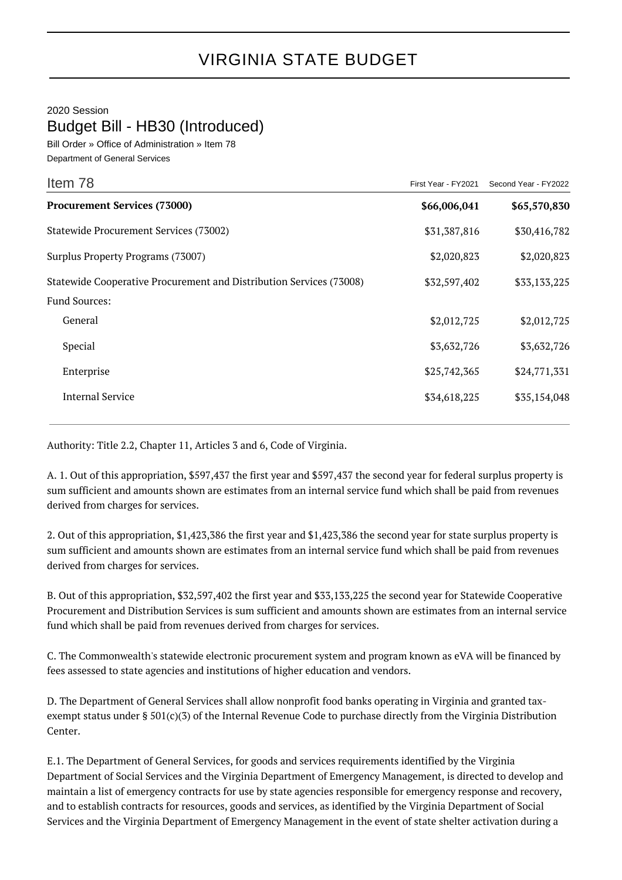## VIRGINIA STATE BUDGET

2020 Session

Budget Bill - HB30 (Introduced)

Bill Order » Office of Administration » Item 78 Department of General Services

| Item 78                                                             | First Year - FY2021 | Second Year - FY2022 |
|---------------------------------------------------------------------|---------------------|----------------------|
| <b>Procurement Services (73000)</b>                                 | \$66,006,041        | \$65,570,830         |
| Statewide Procurement Services (73002)                              | \$31,387,816        | \$30,416,782         |
| Surplus Property Programs (73007)                                   | \$2,020,823         | \$2,020,823          |
| Statewide Cooperative Procurement and Distribution Services (73008) | \$32,597,402        | \$33,133,225         |
| <b>Fund Sources:</b>                                                |                     |                      |
| General                                                             | \$2,012,725         | \$2,012,725          |
| Special                                                             | \$3,632,726         | \$3,632,726          |
| Enterprise                                                          | \$25,742,365        | \$24,771,331         |
| <b>Internal Service</b>                                             | \$34,618,225        | \$35,154,048         |

Authority: Title 2.2, Chapter 11, Articles 3 and 6, Code of Virginia.

A. 1. Out of this appropriation, \$597,437 the first year and \$597,437 the second year for federal surplus property is sum sufficient and amounts shown are estimates from an internal service fund which shall be paid from revenues derived from charges for services.

2. Out of this appropriation, \$1,423,386 the first year and \$1,423,386 the second year for state surplus property is sum sufficient and amounts shown are estimates from an internal service fund which shall be paid from revenues derived from charges for services.

B. Out of this appropriation, \$32,597,402 the first year and \$33,133,225 the second year for Statewide Cooperative Procurement and Distribution Services is sum sufficient and amounts shown are estimates from an internal service fund which shall be paid from revenues derived from charges for services.

C. The Commonwealth's statewide electronic procurement system and program known as eVA will be financed by fees assessed to state agencies and institutions of higher education and vendors.

D. The Department of General Services shall allow nonprofit food banks operating in Virginia and granted taxexempt status under § 501(c)(3) of the Internal Revenue Code to purchase directly from the Virginia Distribution Center.

E.1. The Department of General Services, for goods and services requirements identified by the Virginia Department of Social Services and the Virginia Department of Emergency Management, is directed to develop and maintain a list of emergency contracts for use by state agencies responsible for emergency response and recovery, and to establish contracts for resources, goods and services, as identified by the Virginia Department of Social Services and the Virginia Department of Emergency Management in the event of state shelter activation during a